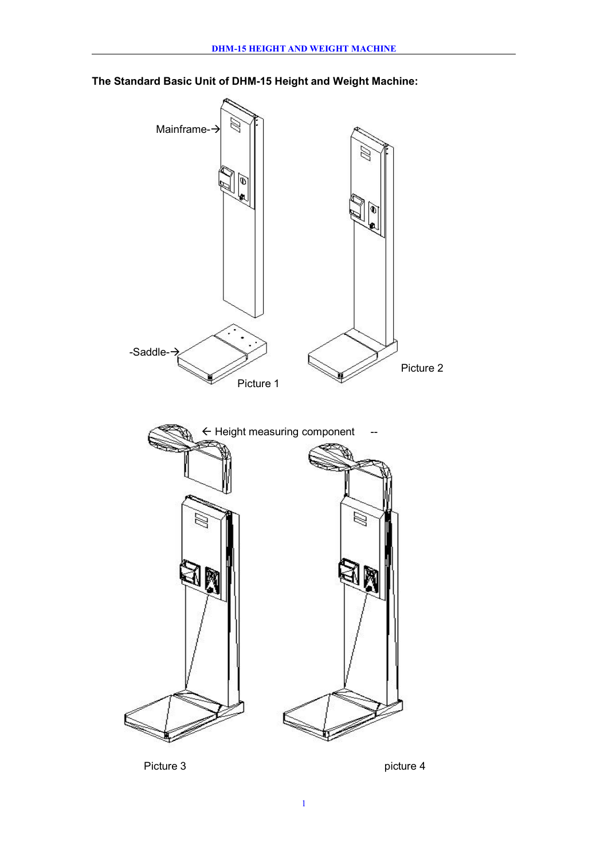

**The Standard Basic Unit of DHM-15 Height and Weight Machine:**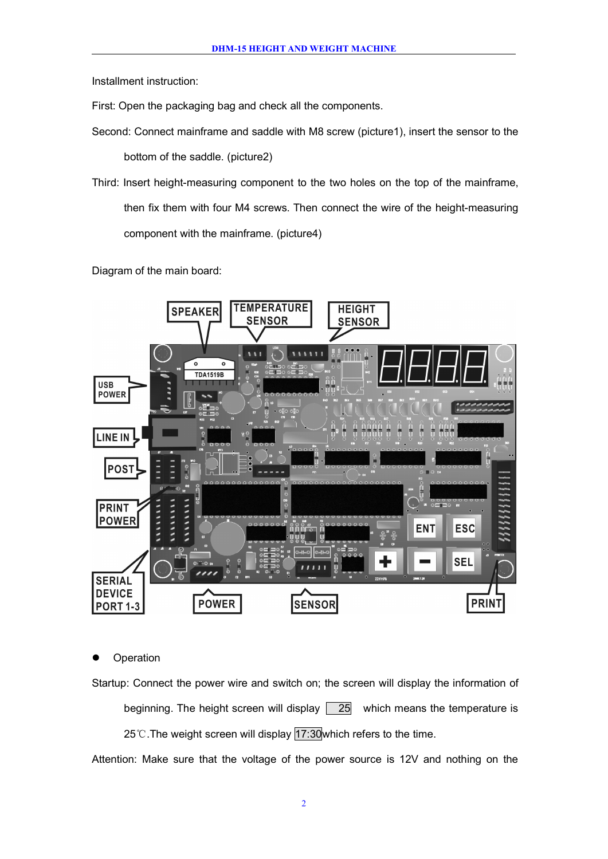Installment instruction:

First: Open the packaging bag and check all the components.

- Second: Connect mainframe and saddle with M8 screw (picture1), insert the sensor to the bottom of the saddle. (picture2)
- Third: Insert height-measuring component to the two holes on the top of the mainframe, then fix them with four M4 screws. Then connect the wire of the height-measuring component with the mainframe. (picture4)

Diagram of the main board:



**Operation** 

Startup: Connect the power wire and switch on; the screen will display the information of beginning. The height screen will display  $\boxed{25}$  which means the temperature is 25℃. The weight screen will display 17:30 which refers to the time.

Attention: Make sure that the voltage of the power source is 12V and nothing on the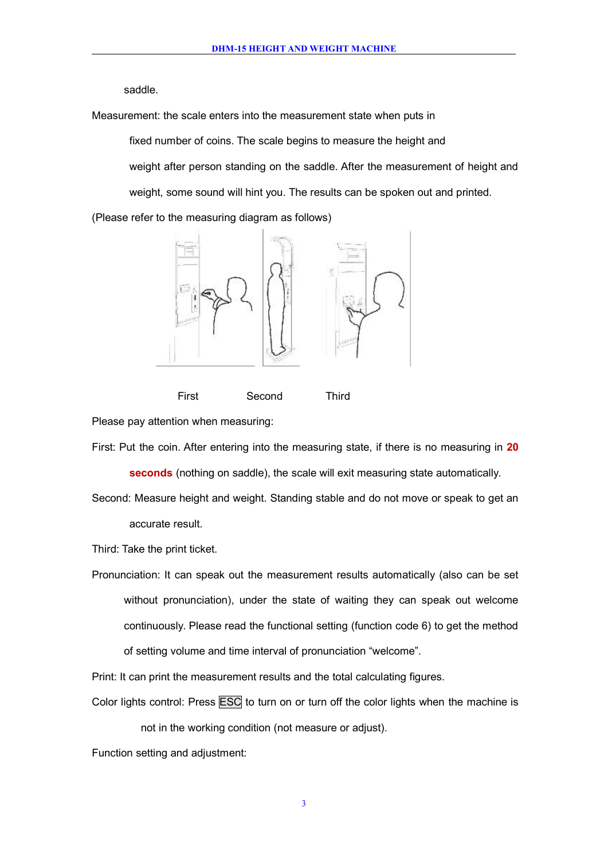saddle.

Measurement: the scale enters into the measurement state when puts in

fixed number of coins. The scale begins to measure the height and

weight after person standing on the saddle. After the measurement of height and weight, some sound will hint you. The results can be spoken out and printed.

(Please refer to the measuring diagram as follows)



First Second Third

Please pay attention when measuring:

First: Put the coin. After entering into the measuring state, if there is no measuring in 20

**seconds** (nothing on saddle), the scale will exit measuring state automatically.

Second: Measure height and weight. Standing stable and do not move or speak to get an accurate result.

Third: Take the print ticket.

Pronunciation: It can speak out the measurement results automatically (also can be set without pronunciation), under the state of waiting they can speak out welcome continuously. Please read the functional setting (function code 6) to get the method of setting volume and time interval of pronunciation "welcome".

Print: It can print the measurement results and the total calculating figures.

Color lights control: Press **ESC** to turn on or turn off the color lights when the machine is

not in the working condition (not measure or adjust).

Function setting and adjustment: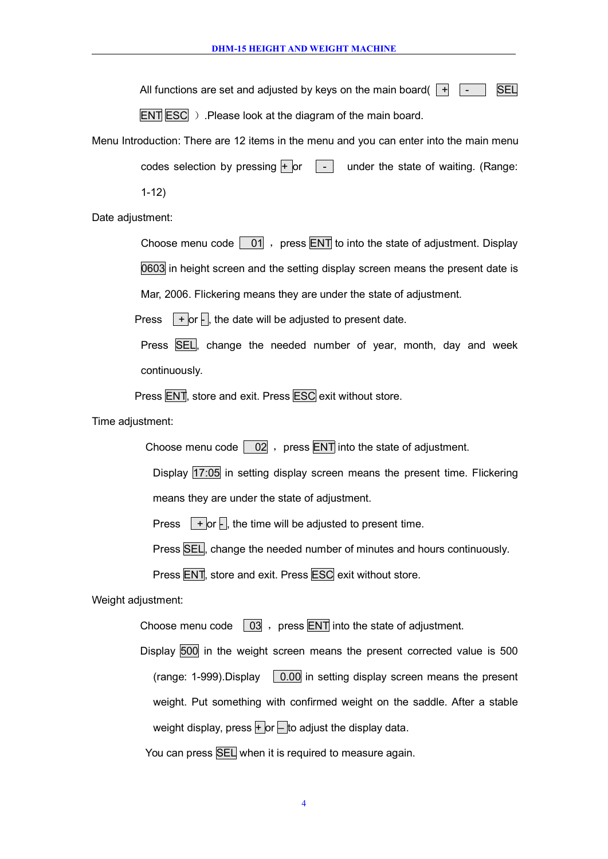All functions are set and adjusted by keys on the main board( $\boxed{+}$ 

 $ENT|ESC$ ). Please look at the diagram of the main board.

Menu Introduction: There are 12 items in the menu and you can enter into the main menu codes selection by pressing  $\Box$   $\Box$  under the state of waiting. (Range: 1-12)

Date adjustment:

Choose menu code  $\boxed{01}$ , press ENT to into the state of adjustment. Display 0603 in height screen and the setting display screen means the present date is

Mar, 2006. Flickering means they are under the state of adjustment.

Press  $\Box$  + or  $\Box$ , the date will be adjusted to present date.

Press SEL, change the needed number of year, month, day and week continuously.

Press ENT, store and exit. Press ESC exit without store.

Time adjustment:

Choose menu code  $\begin{bmatrix} 02 \\ 0 \end{bmatrix}$ , press ENT into the state of adjustment.

Display 17:05 in setting display screen means the present time. Flickering means they are under the state of adjustment.

Press  $\Box$  + or  $\Box$ , the time will be adjusted to present time.

Press SEL, change the needed number of minutes and hours continuously.

Press ENT, store and exit. Press ESC exit without store.

Weight adjustment:

Choose menu code  $\boxed{03}$ , press ENT into the state of adjustment.

Display 500 in the weight screen means the present corrected value is 500 (range: 1-999). Display  $\sqrt{0.00}$  in setting display screen means the present weight. Put something with confirmed weight on the saddle. After a stable weight display, press  $\frac{1}{2}$  or  $\frac{1}{2}$  to adjust the display data.

You can press **SEL** when it is required to measure again.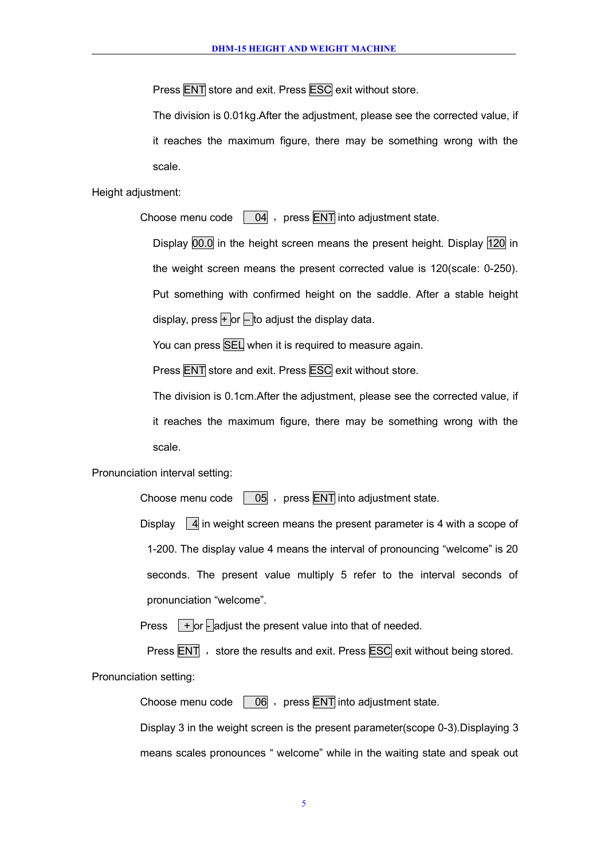Press **ENT** store and exit. Press **ESC** exit without store.

The division is 0.01kg. After the adjustment, please see the corrected value, if it reaches the maximum figure, there may be something wrong with the scale.

Height adjustment:

Choose menu code  $\begin{bmatrix} 04 \\ 0 \end{bmatrix}$ , press ENT into adjustment state.

Display 00.0 in the height screen means the present height. Display 120 in the weight screen means the present corrected value is 120(scale: 0-250). Put something with confirmed height on the saddle. After a stable height display, press  $+$  or  $-$  to adjust the display data.

You can press SEL when it is required to measure again.

Press ENT store and exit. Press ESC exit without store.

The division is 0.1cm.After the adjustment, please see the corrected value, if it reaches the maximum figure, there may be something wrong with the scale.

Pronunciation interval setting:

Choose menu code  $\boxed{05}$ , press ENT into adjustment state.

Display  $\vert 4 \vert$  in weight screen means the present parameter is 4 with a scope of 1-200. The display value 4 means the interval of pronouncing "welcome" is 20 seconds. The present value multiply 5 refer to the interval seconds of pronunciation "welcome".

Press  $\Box$  or  $\Box$  adjust the present value into that of needed.

Press  $\overline{\text{ENT}}$ , store the results and exit. Press  $\overline{\text{ESC}}$  exit without being stored.

Pronunciation setting:

Choose menu code  $\boxed{06}$ , press ENT into adjustment state.

Display 3 in the weight screen is the present parameter(scope 0-3).Displaying 3 means scales pronounces " welcome" while in the waiting state and speak out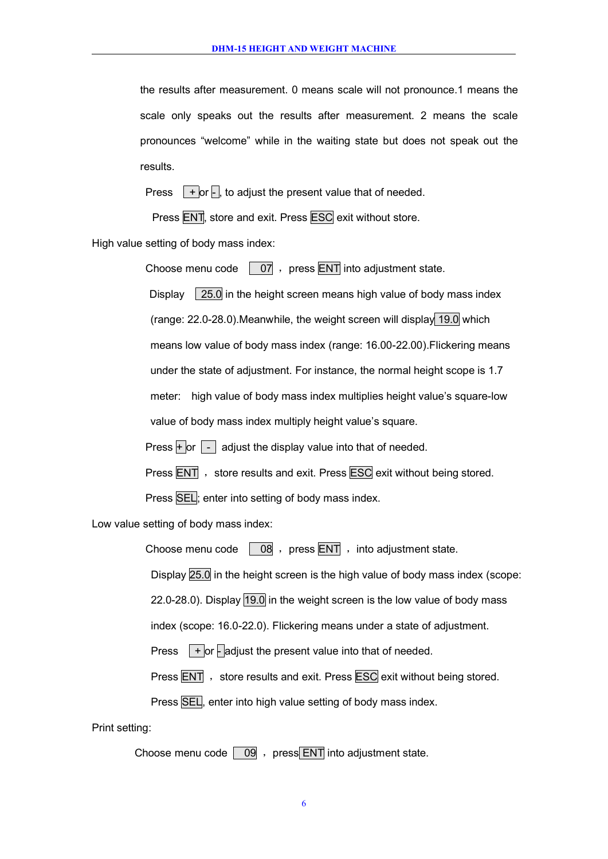the results after measurement. 0 means scale will not pronounce.1 means the scale only speaks out the results after measurement. 2 means the scale pronounces "welcome" while in the waiting state but does not speak out the results.

Press  $\boxed{+}$  or  $\boxed{+}$ , to adjust the present value that of needed.

Press ENT, store and exit. Press ESC exit without store.

High value setting of body mass index:

Choose menu code  $\begin{bmatrix} 07 \\ 07 \end{bmatrix}$ , press ENT into adjustment state.

Display  $\left| 25.0 \right|$  in the height screen means high value of body mass index (range: 22.0-28.0).Meanwhile, the weight screen will display 19.0 which means low value of body mass index (range: 16.00-22.00).Flickering means under the state of adjustment. For instance, the normal height scope is 1.7 meter: high value of body mass index multiplies height value's square-low value of body mass index multiply height value's square.

Press  $+$  or  $-$  adjust the display value into that of needed.

Press **ENT**, store results and exit. Press **ESC** exit without being stored.

Press **SEL**: enter into setting of body mass index.

Low value setting of body mass index:

Choose menu code  $\begin{bmatrix} 08 \\ 08 \end{bmatrix}$ , press ENT , into adjustment state.

Display 25.0 in the height screen is the high value of body mass index (scope:

22.0-28.0). Display 19.0 in the weight screen is the low value of body mass

index (scope: 16.0-22.0). Flickering means under a state of adjustment.

Press  $\Box$  + or  $\Box$  adjust the present value into that of needed.

Press ENT , store results and exit. Press ESC exit without being stored.

Press SEL, enter into high value setting of body mass index.

Print setting:

Choose menu code  $\boxed{09}$ , press ENT into adjustment state.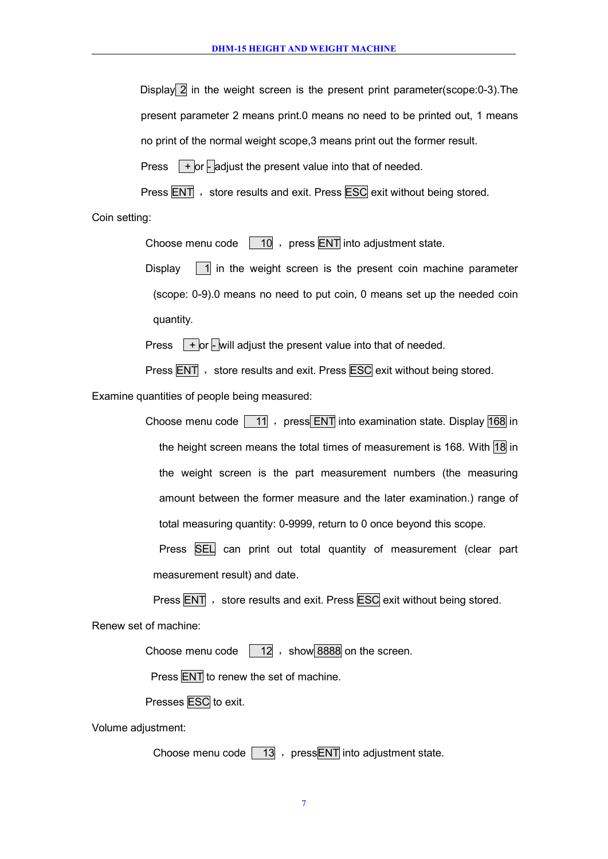Display 2 in the weight screen is the present print parameter(scope:0-3). The present parameter 2 means print.0 means no need to be printed out, 1 means no print of the normal weight scope,3 means print out the former result.

Press  $\sqrt{+}$  or  $\sqrt{ }$  adjust the present value into that of needed.

Press ENT , store results and exit. Press ESC exit without being stored.

Coin setting:

Choose menu code  $\boxed{10}$ , press ENT into adjustment state.

Display  $\boxed{1}$  in the weight screen is the present coin machine parameter (scope: 0-9).0 means no need to put coin, 0 means set up the needed coin quantity.

Press  $\sqrt{+}$  or  $\sqrt{-}$  will adjust the present value into that of needed.

Press **ENT**, store results and exit. Press **ESC** exit without being stored.

Examine quantities of people being measured:

Choose menu code  $\boxed{11}$ , press ENT into examination state. Display 168 in the height screen means the total times of measurement is 168. With 18 in the weight screen is the part measurement numbers (the measuring amount between the former measure and the later examination.) range of total measuring quantity: 0-9999, return to 0 once beyond this scope.

Press **SEL** can print out total quantity of measurement (clear part measurement result) and date.

Press ENT , store results and exit. Press ESC exit without being stored.

Renew set of machine:

Choose menu code  $\sqrt{12}$ , show 8888 on the screen.

Press **ENT** to renew the set of machine.

Presses ESC to exit.

Volume adjustment:

Choose menu code  $\boxed{13}$ , pressENT into adjustment state.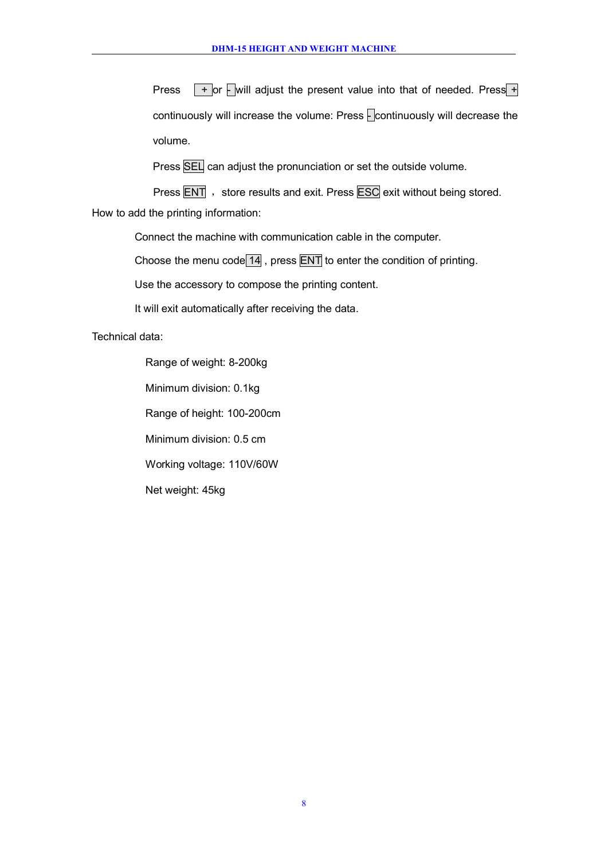Press  $\sqrt{+}$  or  $\sqrt{-}$  will adjust the present value into that of needed. Press  $\frac{1}{\sqrt{+}}$ continuously will increase the volume: Press  $\sqrt{2}$  continuously will decrease the volume.

Press SEL can adjust the pronunciation or set the outside volume.

Press ENT , store results and exit. Press ESC exit without being stored. How to add the printing information:

Connect the machine with communication cable in the computer.

Choose the menu code  $14$ , press ENT to enter the condition of printing.

Use the accessory to compose the printing content.

It will exit automatically after receiving the data.

Technical data:

Range of weight: 8-200kg Minimum division: 0.1kg Range of height: 100-200cm Minimum division: 0.5 cm Working voltage: 110V/60W Net weight: 45kg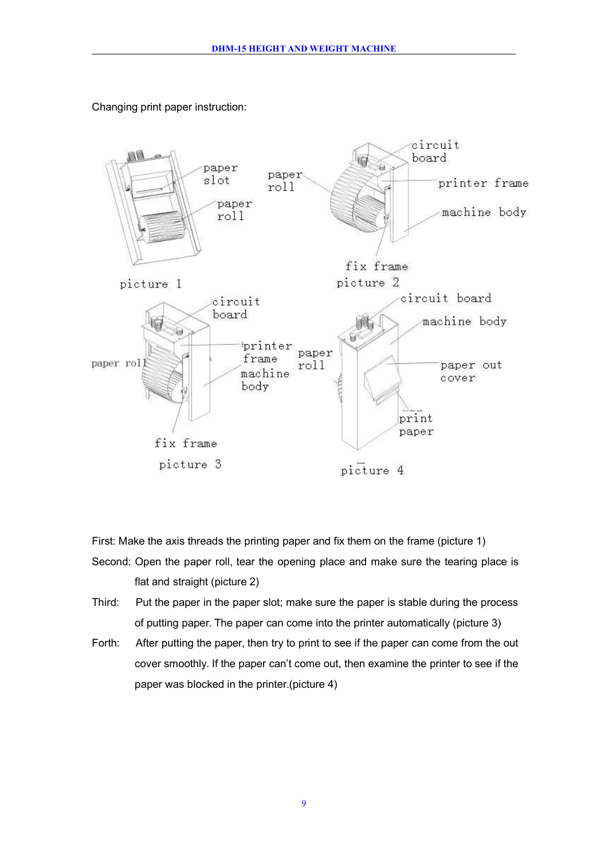

Changing print paper instruction:

First: Make the axis threads the printing paper and fix them on the frame (picture 1) Second: Open the paper roll, tear the opening place and make sure the tearing place is flat and straight (picture 2)

- Third: Put the paper in the paper slot; make sure the paper is stable during the process of putting paper. The paper can come into the printer automatically (picture 3)
- Forth: After putting the paper, then try to print to see if the paper can come from the out cover smoothly. If the paper can't come out, then examine the printer to see if the paper was blocked in the printer.(picture 4)